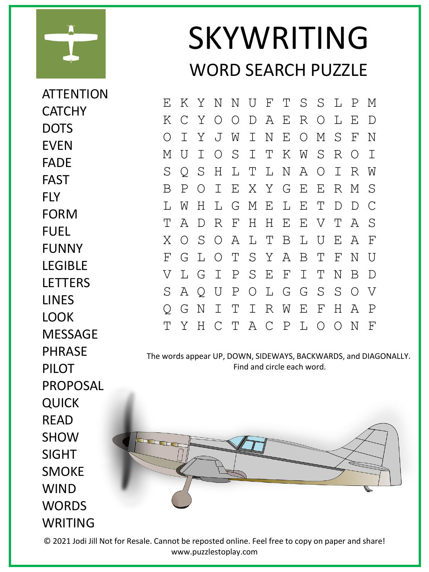

**ATTENTION** 

SKYWRITING WORD SEARCH PUZZLE

E K Y N N U F T S S L P M K C Y O O D A E R O L E D O I Y J W I N E O M S F N M U I O S I T K W S R O I S Q S H L T L N A O I R W B P O I E X Y G E E R M S L W H L G M E L E T D D C T A D R F H H E E V T A S X O S O A L T B L U E A F F G L O T S Y A B T F N U V L G I P S E F I T N B D S A Q U P O L G G S S O V Q G N I T I R W E F H A P T Y H C T A C P L O O N F

The words appear UP, DOWN, SIDEWAYS, BACKWARDS, and DIAGONALLY. Find and circle each word.



© 2021 Jodi Jill Not for Resale. Cannot be reposted online. Feel free to copy on paper and share! www.puzzlestoplay.com

**CATCHY** DOTS EVEN FADE FAST FLY FORM FUEL FUNNY **LFGIBLF LETTERS** LINES LOOK **MESSAGE** PHRASE PII OT PROPOSAL QUICK READ **SHOW** SIGHT SMOKE WIND **WORDS** WRITING